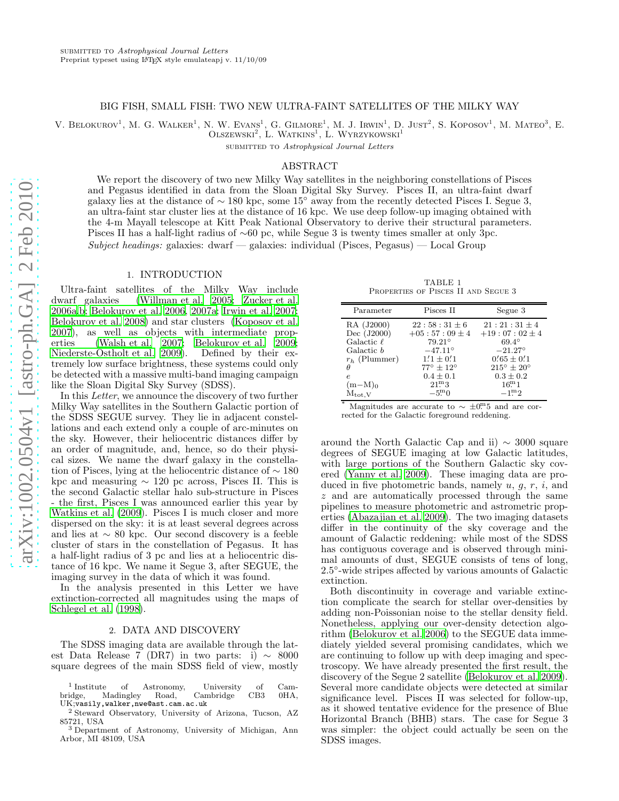#### BIG FISH, SMALL FISH: TWO NEW ULTRA-FAINT SATELLITES OF THE MILKY WAY

V. BELOKUROV<sup>1</sup>, M. G. WALKER<sup>1</sup>, N. W. EVANS<sup>1</sup>, G. GILMORE<sup>1</sup>, M. J. IRWIN<sup>1</sup>, D. JUST<sup>2</sup>, S. KOPOSOV<sup>1</sup>, M. MATEO<sup>3</sup>, E.

 $O$ lszewski<sup>2</sup>, L. Watkins<sup>1</sup>, L. Wyrzykowski<sup>1</sup>

SUBMITTED TO Astrophysical Journal Letters

## ABSTRACT

We report the discovery of two new Milky Way satellites in the neighboring constellations of Pisces and Pegasus identified in data from the Sloan Digital Sky Survey. Pisces II, an ultra-faint dwarf galaxy lies at the distance of ∼ 180 kpc, some 15◦ away from the recently detected Pisces I. Segue 3, an ultra-faint star cluster lies at the distance of 16 kpc. We use deep follow-up imaging obtained with the 4-m Mayall telescope at Kitt Peak National Observatory to derive their structural parameters. Pisces II has a half-light radius of ∼60 pc, while Segue 3 is twenty times smaller at only 3pc.  $Subject \, headings:$  galaxies: dwarf — galaxies: individual (Pisces, Pegasus) — Local Group

### 1. INTRODUCTION

Ultra-faint satellites of the Milky Way include dwarf galaxies [\(Willman et al. 2005;](#page-3-0) [Zucker et al.](#page-3-1) [2006a](#page-3-1)[,b;](#page-4-0) [Belokurov et al. 2006,](#page-3-2) [2007a](#page-3-3); [Irwin et al. 2007;](#page-3-4) [Belokurov et al. 2008](#page-3-5)) and star clusters [\(Koposov et al.](#page-3-6) [2007\)](#page-3-6), as well as objects with intermediate properties [\(Walsh et al. 2007](#page-3-7); [Belokurov et al. 2009;](#page-3-8) [Niederste-Ostholt et al. 2009](#page-3-9)). Defined by their extremely low surface brightness, these systems could only be detected with a massive multi-band imaging campaign like the Sloan Digital Sky Survey (SDSS).

In this Letter, we announce the discovery of two further Milky Way satellites in the Southern Galactic portion of the SDSS SEGUE survey. They lie in adjacent constellations and each extend only a couple of arc-minutes on the sky. However, their heliocentric distances differ by an order of magnitude, and, hence, so do their physical sizes. We name the dwarf galaxy in the constellation of Pisces, lying at the heliocentric distance of ∼ 180 kpc and measuring ∼ 120 pc across, Pisces II. This is the second Galactic stellar halo sub-structure in Pisces - the first, Pisces I was announced earlier this year by [Watkins et al. \(2009\)](#page-3-10). Pisces I is much closer and more dispersed on the sky: it is at least several degrees across and lies at ∼ 80 kpc. Our second discovery is a feeble cluster of stars in the constellation of Pegasus. It has a half-light radius of 3 pc and lies at a heliocentric distance of 16 kpc. We name it Segue 3, after SEGUE, the imaging survey in the data of which it was found.

In the analysis presented in this Letter we have extinction-corrected all magnitudes using the maps of [Schlegel et al. \(1998\)](#page-3-11).

#### 2. DATA AND DISCOVERY

The SDSS imaging data are available through the latest Data Release 7 (DR7) in two parts: i)  $\sim 8000$ square degrees of the main SDSS field of view, mostly

<span id="page-0-0"></span>TABLE 1 Properties of Pisces II and Segue 3

| Parameter          | Pisces II                 | Segue 3                      |
|--------------------|---------------------------|------------------------------|
| RA (J2000)         | $22:58:31 \pm 6$          | $21:21:31 \pm 4$             |
| Dec (J2000)        | $+05:57:09 \pm 4$         | $+19:07:02 \pm 4$            |
| Galactic $\ell$    | $79.21^{\circ}$           | $69.4^{\circ}$               |
| Galactic b         | $-47.11^{\circ}$          | $-21.27^{\circ}$             |
| $r_h$ (Plummer)    | $1'1 \pm 0'1$             | $0.65 \pm 0.1$               |
| Ĥ                  | $77^{\circ} + 12^{\circ}$ | $215^{\circ} \pm 20^{\circ}$ |
| $\epsilon$         | $0.4 \pm 0.1$             | $0.3 \pm 0.2$                |
| $(m-M)0$           | 21 <sup>m</sup> 3         | 16 <sup>m</sup> 1            |
| $M_{\text{tot,V}}$ | $-5^{\rm m}0$             | $-1^{\rm m}2$                |

Magnitudes are accurate to  $\sim \pm 0^{m.5}$  and are corrected for the Galactic foreground reddening.

around the North Galactic Cap and ii)  $\sim$  3000 square degrees of SEGUE imaging at low Galactic latitudes, with large portions of the Southern Galactic sky covered [\(Yanny et al. 2009](#page-3-12)). These imaging data are produced in five photometric bands, namely  $u, q, r, i$ , and z and are automatically processed through the same pipelines to measure photometric and astrometric properties [\(Abazajian et al. 2009](#page-3-13)). The two imaging datasets differ in the continuity of the sky coverage and the amount of Galactic reddening: while most of the SDSS has contiguous coverage and is observed through minimal amounts of dust, SEGUE consists of tens of long, 2.5 ◦ -wide stripes affected by various amounts of Galactic extinction.

Both discontinuity in coverage and variable extinction complicate the search for stellar over-densities by adding non-Poissonian noise to the stellar density field. Nonetheless, applying our over-density detection algorithm [\(Belokurov et al. 2006\)](#page-3-2) to the SEGUE data immediately yielded several promising candidates, which we are continuing to follow up with deep imaging and spectroscopy. We have already presented the first result, the discovery of the Segue 2 satellite [\(Belokurov et al. 2009](#page-3-8)). Several more candidate objects were detected at similar significance level. Pisces II was selected for follow-up, as it showed tentative evidence for the presence of Blue Horizontal Branch (BHB) stars. The case for Segue 3 was simpler: the object could actually be seen on the SDSS images.

 $^{\rm 1}$  Institute  $^1$  Institute of Astronomy, University of Cam-bridge, Madingley Road, Cambridge CB3  $\,$  0HA, Madingley UK;vasily,walker,nwe@ast.cam.ac.uk

<sup>2</sup> Steward Observatory, University of Arizona, Tucson, AZ 85721, USA <sup>3</sup> Department of Astronomy, University of Michigan, Ann

Arbor, MI 48109, USA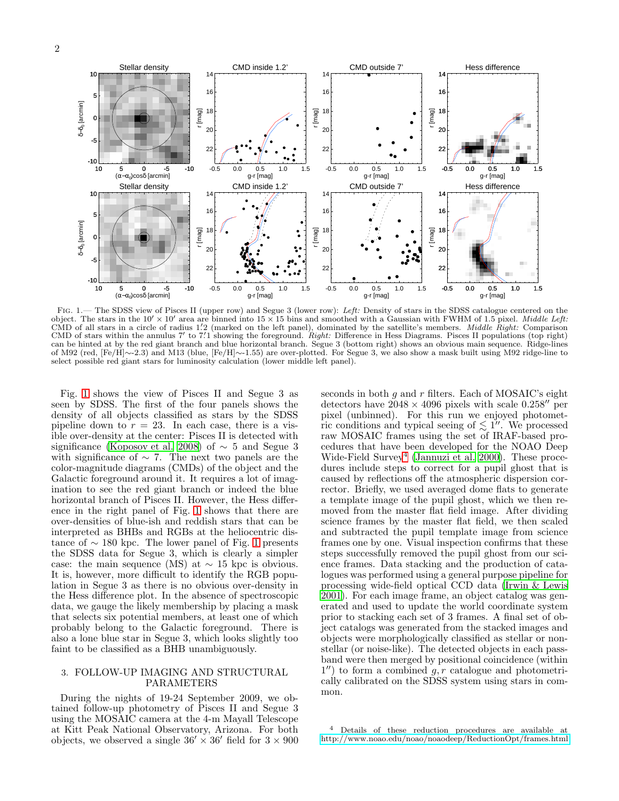

<span id="page-1-0"></span>FIG. 1.— The SDSS view of Pisces II (upper row) and Segue 3 (lower row): Left: Density of stars in the SDSS catalogue centered on the object. The stars in the  $10' \times 10'$  area are binned into  $15 \times 15$  bins and smoothed w CMD of all stars in a circle of radius 1.'2 (marked on the left panel), dominated by the satellite's members. Middle Right: Comparison CMD of stars within the annulus 7' to 7.1 showing the foreground. Right: Difference in Hess Diagrams. Pisces II populations (top right) can be hinted at by the red giant branch and blue horizontal branch. Segue 3 (bottom right) shows an obvious main sequence. Ridge-lines of M92 (red, [Fe/H]∼-2.3) and M13 (blue, [Fe/H]∼-1.55) are over-plotted. For Segue 3, we also show a mask built using M92 ridge-line to select possible red giant stars for luminosity calculation (lower middle left panel).

Fig. [1](#page-1-0) shows the view of Pisces II and Segue 3 as seen by SDSS. The first of the four panels shows the density of all objects classified as stars by the SDSS pipeline down to  $r = 23$ . In each case, there is a visible over-density at the center: Pisces II is detected with significance [\(Koposov et al. 2008](#page-3-14)) of  $\sim$  5 and Segue 3 with significance of  $\sim$  7. The next two panels are the color-magnitude diagrams (CMDs) of the object and the Galactic foreground around it. It requires a lot of imagination to see the red giant branch or indeed the blue horizontal branch of Pisces II. However, the Hess difference in the right panel of Fig. [1](#page-1-0) shows that there are over-densities of blue-ish and reddish stars that can be interpreted as BHBs and RGBs at the heliocentric distance of  $\sim$  [1](#page-1-0)80 kpc. The lower panel of Fig. 1 presents the SDSS data for Segue 3, which is clearly a simpler case: the main sequence (MS) at  $\sim$  15 kpc is obvious. It is, however, more difficult to identify the RGB population in Segue 3 as there is no obvious over-density in the Hess difference plot. In the absence of spectroscopic data, we gauge the likely membership by placing a mask that selects six potential members, at least one of which probably belong to the Galactic foreground. There is also a lone blue star in Segue 3, which looks slightly too faint to be classified as a BHB unambiguously.

## 3. FOLLOW-UP IMAGING AND STRUCTURAL PARAMETERS

During the nights of 19-24 September 2009, we obtained follow-up photometry of Pisces II and Segue 3 using the MOSAIC camera at the 4-m Mayall Telescope at Kitt Peak National Observatory, Arizona. For both objects, we observed a single  $36' \times 36'$  field for  $3 \times 900$ 

seconds in both  $g$  and  $r$  filters. Each of MOSAIC's eight detectors have  $2048 \times 4096$  pixels with scale  $0.258''$  per pixel (unbinned). For this run we enjoyed photometric conditions and typical seeing of  $\lesssim 1''$ . We processed raw MOSAIC frames using the set of IRAF-based procedures that have been developed for the NOAO Deep Wide-Field Survey<sup>[4](#page-1-1)</sup> [\(Jannuzi et al. 2000\)](#page-3-15). These procedures include steps to correct for a pupil ghost that is caused by reflections off the atmospheric dispersion corrector. Briefly, we used averaged dome flats to generate a template image of the pupil ghost, which we then removed from the master flat field image. After dividing science frames by the master flat field, we then scaled and subtracted the pupil template image from science frames one by one. Visual inspection confirms that these steps successfully removed the pupil ghost from our science frames. Data stacking and the production of catalogues was performed using a general purpose pipeline for processing wide-field optical CCD data [\(Irwin & Lewis](#page-3-16) [2001\)](#page-3-16). For each image frame, an object catalog was generated and used to update the world coordinate system prior to stacking each set of 3 frames. A final set of object catalogs was generated from the stacked images and objects were morphologically classified as stellar or nonstellar (or noise-like). The detected objects in each passband were then merged by positional coincidence (within  $1'$ ) to form a combined  $g, r$  catalogue and photometrically calibrated on the SDSS system using stars in common.

<span id="page-1-1"></span><sup>4</sup> Details of these reduction procedures are available at <http://www.noao.edu/noao/noaodeep/ReductionOpt/frames.html>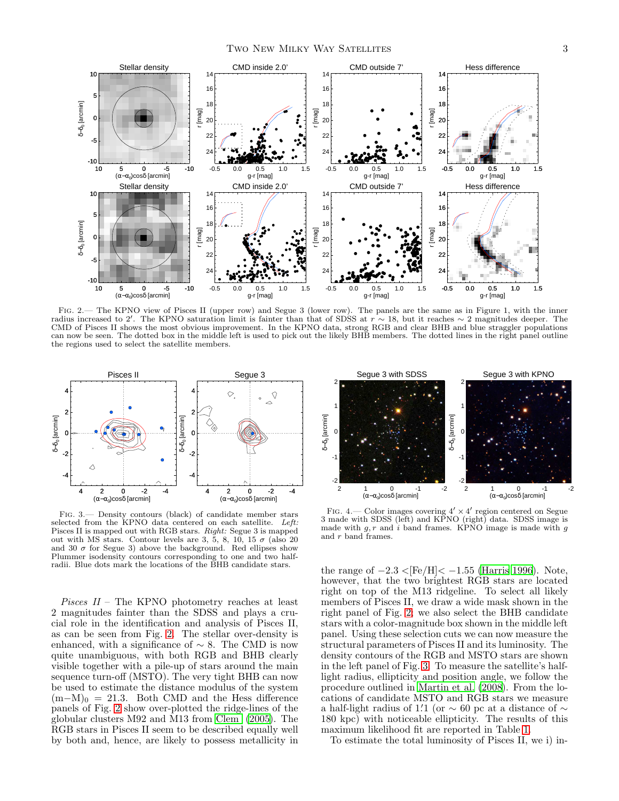

<span id="page-2-0"></span>Fig. 2.— The KPNO view of Pisces II (upper row) and Segue 3 (lower row). The panels are the same as in Figure 1, with the inner radius increased to 2′. The KPNO saturation limit is fainter than that of SDSS at  $r \sim 18$ , but it reaches  $\sim 2$  magnitudes deeper. The CMD of Pisces II shows the most obvious improvement. In the KPNO data, strong RGB and clear BHB and blue straggler populations can now be seen. The dotted box in the middle left is used to pick out the likely BHB members. The dotted lines in the right panel outline the regions used to select the satellite members.



<span id="page-2-1"></span>Fig. 3.— Density contours (black) of candidate member stars selected from the KPNO data centered on each satellite. Left: Pisces II is mapped out with RGB stars. Right: Segue 3 is mapped out with MS stars. Contour levels are 3, 5, 8, 10, 15  $\sigma$  (also 20 and 30  $\sigma$  for Segue 3) above the background. Red ellipses show Plummer isodensity contours corresponding to one and two halfradii. Blue dots mark the locations of the BHB candidate stars.

Pisces II – The KPNO photometry reaches at least 2 magnitudes fainter than the SDSS and plays a crucial role in the identification and analysis of Pisces II, as can be seen from Fig. [2.](#page-2-0) The stellar over-density is enhanced, with a significance of  $\sim$  8. The CMD is now quite unambiguous, with both RGB and BHB clearly visible together with a pile-up of stars around the main sequence turn-off (MSTO). The very tight BHB can now be used to estimate the distance modulus of the system  $(m-M)_0 = 21.3$ . Both CMD and the Hess difference panels of Fig. [2](#page-2-0) show over-plotted the ridge-lines of the globular clusters M92 and M13 from [Clem \(2005\)](#page-3-17). The RGB stars in Pisces II seem to be described equally well by both and, hence, are likely to possess metallicity in



<span id="page-2-2"></span>FIG. 4.— Color images covering  $4' \times 4'$  region centered on Segue 3 made with SDSS (left) and KPNO (right) data. SDSS image is made with  $g, r$  and i band frames. KPNO image is made with  $g$ and r band frames.

the range of  $-2.3 < [Fe/H] < -1.55$  [\(Harris 1996\)](#page-3-18). Note, however, that the two brightest RGB stars are located right on top of the M13 ridgeline. To select all likely members of Pisces II, we draw a wide mask shown in the right panel of Fig. [2;](#page-2-0) we also select the BHB candidate stars with a color-magnitude box shown in the middle left panel. Using these selection cuts we can now measure the structural parameters of Pisces II and its luminosity. The density contours of the RGB and MSTO stars are shown in the left panel of Fig. [3.](#page-2-1) To measure the satellite's halflight radius, ellipticity and position angle, we follow the procedure outlined in [Martin et al. \(2008\)](#page-3-19). From the locations of candidate MSTO and RGB stars we measure a half-light radius of 1.'1 (or  $\sim$  60 pc at a distance of  $\sim$ 180 kpc) with noticeable ellipticity. The results of this maximum likelihood fit are reported in Table [1.](#page-0-0)

To estimate the total luminosity of Pisces II, we i) in-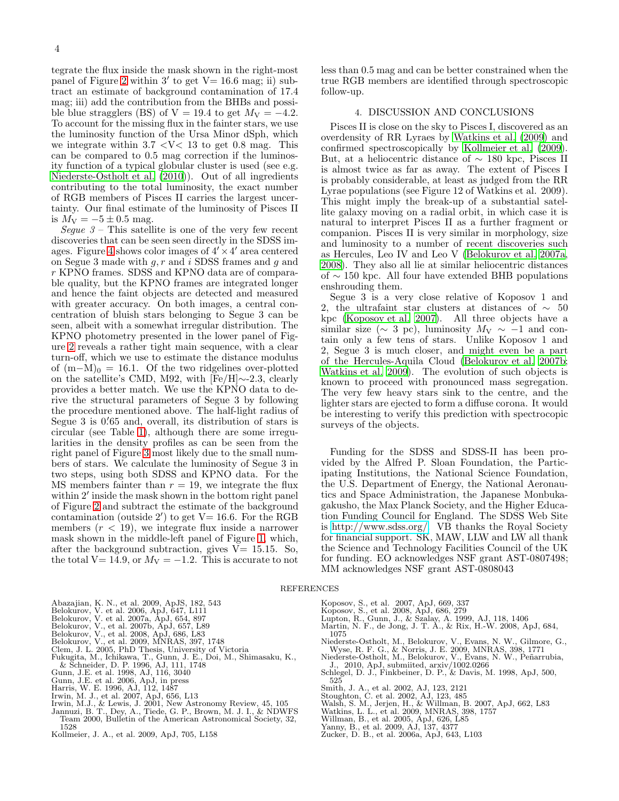tegrate the flux inside the mask shown in the right-most panel of Figure [2](#page-2-0) within  $3'$  to get  $V = 16.6$  mag; ii) subtract an estimate of background contamination of 17.4 mag; iii) add the contribution from the BHBs and possible blue stragglers (BS) of V = 19.4 to get  $M_V = -4.2$ . To account for the missing flux in the fainter stars, we use the luminosity function of the Ursa Minor dSph, which we integrate within  $3.7 \leq V \leq 13$  to get 0.8 mag. This can be compared to 0.5 mag correction if the luminosity function of a typical globular cluster is used (see e.g. [Niederste-Ostholt et al. \(2010](#page-3-20))). Out of all ingredients contributing to the total luminosity, the exact number of RGB members of Pisces II carries the largest uncertainty. Our final estimate of the luminosity of Pisces II is  $M_V = -5 \pm 0.5$  mag.

Seque  $3$  – This satellite is one of the very few recent discoveries that can be seen seen directly in the SDSS im-ages. Figure [4](#page-2-2) shows color images of  $4' \times 4'$  area centered on Segue 3 made with  $q, r$  and i SDSS frames and  $q$  and r KPNO frames. SDSS and KPNO data are of comparable quality, but the KPNO frames are integrated longer and hence the faint objects are detected and measured with greater accuracy. On both images, a central concentration of bluish stars belonging to Segue 3 can be seen, albeit with a somewhat irregular distribution. The KPNO photometry presented in the lower panel of Figure [2](#page-2-0) reveals a rather tight main sequence, with a clear turn-off, which we use to estimate the distance modulus of  $(m-M)_0 = 16.1$ . Of the two ridgelines over-plotted on the satellite's CMD, M92, with [Fe/H]∼-2.3, clearly provides a better match. We use the KPNO data to derive the structural parameters of Segue 3 by following the procedure mentioned above. The half-light radius of Segue 3 is 0. ′65 and, overall, its distribution of stars is circular (see Table [1\)](#page-0-0), although there are some irregularities in the density profiles as can be seen from the right panel of Figure [3](#page-2-1) most likely due to the small numbers of stars. We calculate the luminosity of Segue 3 in two steps, using both SDSS and KPNO data. For the MS members fainter than  $r = 19$ , we integrate the flux within 2' inside the mask shown in the bottom right panel of Figure [2](#page-2-0) and subtract the estimate of the background contamination (outside  $2'$ ) to get  $V=16.6$ . For the RGB members  $(r < 19)$ , we integrate flux inside a narrower mask shown in the middle-left panel of Figure [1,](#page-1-0) which, after the background subtraction, gives  $V = 15.15$ . So, the total V= 14.9, or  $M_V = -1.2$ . This is accurate to not

less than 0.5 mag and can be better constrained when the true RGB members are identified through spectroscopic follow-up.

# 4. DISCUSSION AND CONCLUSIONS

Pisces II is close on the sky to Pisces I, discovered as an overdensity of RR Lyraes by [Watkins et al. \(2009\)](#page-3-10) and confirmed spectroscopically by [Kollmeier et al. \(2009](#page-3-21)). But, at a heliocentric distance of ∼ 180 kpc, Pisces II is almost twice as far as away. The extent of Pisces I is probably considerable, at least as judged from the RR Lyrae populations (see Figure 12 of Watkins et al. 2009). This might imply the break-up of a substantial satellite galaxy moving on a radial orbit, in which case it is natural to interpret Pisces II as a further fragment or companion. Pisces II is very similar in morphology, size and luminosity to a number of recent discoveries such as Hercules, Leo IV and Leo V [\(Belokurov et al. 2007a](#page-3-3), [2008\)](#page-3-5). They also all lie at similar heliocentric distances of ∼ 150 kpc. All four have extended BHB populations enshrouding them.

Segue 3 is a very close relative of Koposov 1 and 2, the ultrafaint star clusters at distances of  $\sim 50$ kpc [\(Koposov et al. 2007](#page-3-6)). All three objects have a similar size ( $\sim$  3 pc), luminosity  $M_V \sim -1$  and contain only a few tens of stars. Unlike Koposov 1 and 2, Segue 3 is much closer, and might even be a part of the Hercules-Aquila Cloud [\(Belokurov et al. 2007b](#page-3-22); [Watkins et al. 2009](#page-3-10)). The evolution of such objects is known to proceed with pronounced mass segregation. The very few heavy stars sink to the centre, and the lighter stars are ejected to form a diffuse corona. It would be interesting to verify this prediction with spectrocopic surveys of the objects.

Funding for the SDSS and SDSS-II has been provided by the Alfred P. Sloan Foundation, the Participating Institutions, the National Science Foundation, the U.S. Department of Energy, the National Aeronautics and Space Administration, the Japanese Monbukagakusho, the Max Planck Society, and the Higher Education Funding Council for England. The SDSS Web Site is [http://www.sdss.org/.](http://www.sdss.org/)  $V\bar{B}$  thanks the Royal Society for financial support. SK, MAW, LLW and LW all thank the Science and Technology Facilities Council of the UK for funding. EO acknowledges NSF grant AST-0807498; MM acknowledges NSF grant AST-0808043

## **REFERENCES**

- <span id="page-3-13"></span>Abazajian, K. N., et al. 2009, ApJS, 182, 543
- <span id="page-3-2"></span>Belokurov, V. et al. 2006, ApJ, 647, L111 Belokurov, V. et al. 2007a, ApJ, 654, 897 Belokurov, V., et al. 2007b, ApJ, 657, L89
- <span id="page-3-3"></span>
- <span id="page-3-22"></span>
- <span id="page-3-8"></span>
- <span id="page-3-17"></span>
- <span id="page-3-5"></span>Belokurov, V., et al. 2008, ApJ, 686, L83<br>Belokurov, V., et al. 2009, MNRAS, 397, 1748<br>Clem, J. L. 2005, PhD Thesis, University of Victoria<br>Fukugita, M., Ichikawa, T., Gunn, J. E., Doi, M., Shimasaku, K.,<br>W. Schneider, D.
- 
- 
- 
- <span id="page-3-18"></span><span id="page-3-4"></span>
- Gunn, J.E. et al. 2006, ApJ, in press<br>Harris, W. E. 1996, AJ, 112, 1487<br>Irwin, M. J., et al. 2007, ApJ, 656, L13<br>Irwin, M.J., & Lewis, J. 2001, New Astronomy Review, 45, 105<br>Jannuzi, B. T., Dey, A., Tiede, G. P., Brown, M.
- <span id="page-3-16"></span><span id="page-3-15"></span>Team 2000, Bulletin of the American Astronomical Society, 32, 1528
- <span id="page-3-21"></span>Kollmeier, J. A., et al. 2009, ApJ, 705, L158
- <span id="page-3-6"></span>Koposov, S., et al. 2007, ApJ, 669, 337
- 
- <span id="page-3-14"></span>Koposov, S., et al. 2008, ApJ, 686, 279 Lupton, R., Gunn, J., & Szalay, A. 1999, AJ, 118, 1406 Martin, N. F., de Jong, J. T. A., & Rix, H.-W. 2008, ApJ, 684,
- <span id="page-3-19"></span>1075
- <span id="page-3-9"></span>Niederste-Ostholt, M., Belokurov, V., Evans, N. W., Gilmore, G., Wyse, R. F. G., & Norris, J. E. 2009, MNRAS, 398, 1771<br>Niederste-Ostholt, M., Belokurov, V., Evans, N. W., Peñarrubia, J., 2010, ApJ, submitted, arxiv/1002.0
- <span id="page-3-20"></span>
- <span id="page-3-11"></span>525
- 
- <span id="page-3-7"></span>
- Smith, J. A., et al. 2002, AJ, 123, 2121 Stoughton, C. et al. 2002, AJ, 123, 485 Walsh, S. M., Jerjen, H., & Willman, B. 2007, ApJ, 662, L83 Watkins, L. L., et al. 2009, MNRAS, 398, 1757
- <span id="page-3-10"></span>
- <span id="page-3-12"></span><span id="page-3-1"></span><span id="page-3-0"></span>
- Willman, B., et al. 2005, ApJ, 626, L85 Yanny, B., et al. 2009, AJ, 137, 4377 Zucker, D. B., et al. 2006a, ApJ, 643, L103